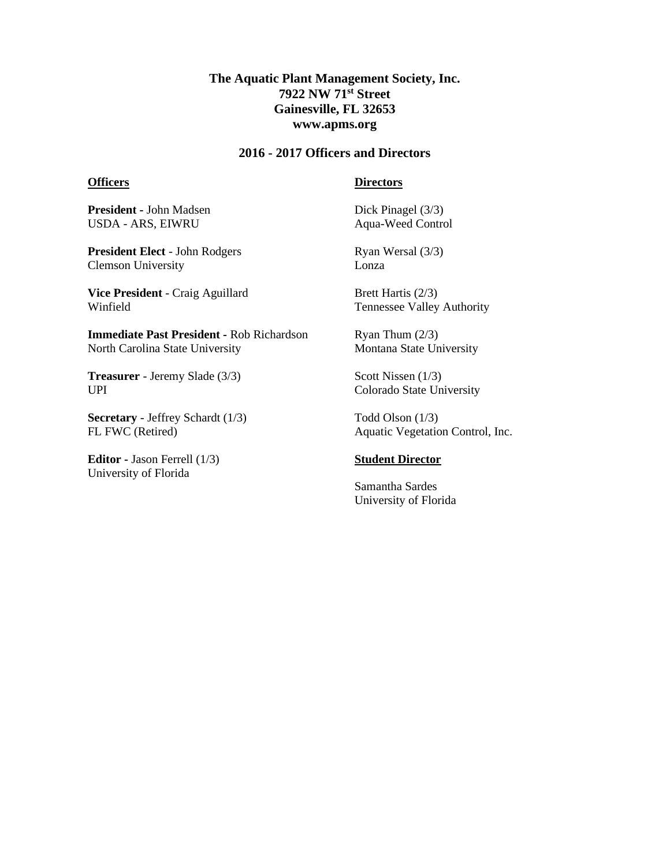## **The Aquatic Plant Management Society, Inc. 7922 NW 71st Street Gainesville, FL 32653 www.apms.org**

### **2016 - 2017 Officers and Directors**

#### **Officers**

#### **Directors**

**President -** John Madsen USDA - ARS, EIWRU

**President Elect** - John Rodgers Clemson University

**Vice President** - Craig Aguillard Winfield

**Immediate Past President -** Rob Richardson North Carolina State University

**Treasurer** - Jeremy Slade (3/3) UPI

**Secretary** - Jeffrey Schardt (1/3) FL FWC (Retired)

**Editor -** Jason Ferrell (1/3) University of Florida

Dick Pinagel (3/3) Aqua-Weed Control

Ryan Wersal (3/3) Lonza

Brett Hartis (2/3) Tennessee Valley Authority

Ryan Thum (2/3) Montana State University

Scott Nissen (1/3) Colorado State University

Todd Olson (1/3) Aquatic Vegetation Control, Inc.

#### **Student Director**

Samantha Sardes University of Florida